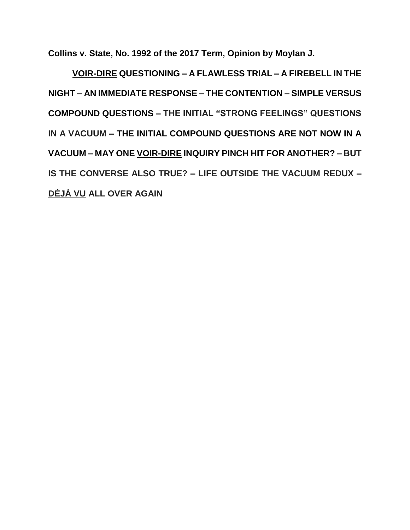**Collins v. State, No. 1992 of the 2017 Term, Opinion by Moylan J.**

**VOIR-DIRE QUESTIONING – A FLAWLESS TRIAL – A FIREBELL IN THE NIGHT – AN IMMEDIATE RESPONSE – THE CONTENTION – SIMPLE VERSUS COMPOUND QUESTIONS – THE INITIAL "STRONG FEELINGS" QUESTIONS IN A VACUUM – THE INITIAL COMPOUND QUESTIONS ARE NOT NOW IN A VACUUM – MAY ONE VOIR-DIRE INQUIRY PINCH HIT FOR ANOTHER? – BUT IS THE CONVERSE ALSO TRUE? – LIFE OUTSIDE THE VACUUM REDUX – DÉJÀ VU ALL OVER AGAIN**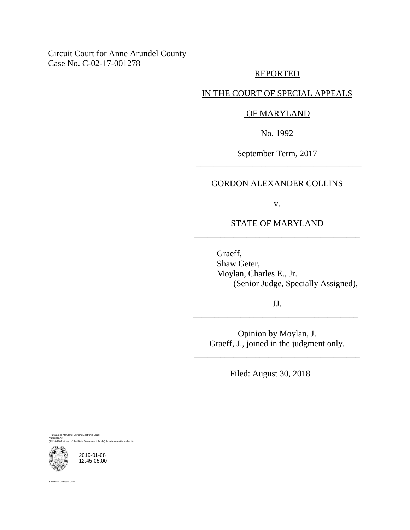# Circuit Court for Anne Arundel County Case No. C-02-17-001278

## REPORTED

# IN THE COURT OF SPECIAL APPEALS

## OF MARYLAND

No. 1992

September Term, 2017 \_\_\_\_\_\_\_\_\_\_\_\_\_\_\_\_\_\_\_\_\_\_\_\_\_\_\_\_\_\_\_\_\_\_\_\_\_\_

## GORDON ALEXANDER COLLINS

v.

# STATE OF MARYLAND \_\_\_\_\_\_\_\_\_\_\_\_\_\_\_\_\_\_\_\_\_\_\_\_\_\_\_\_\_\_\_\_\_\_\_\_\_\_

Graeff, Shaw Geter, Moylan, Charles E., Jr. (Senior Judge, Specially Assigned),

JJ. \_\_\_\_\_\_\_\_\_\_\_\_\_\_\_\_\_\_\_\_\_\_\_\_\_\_\_\_\_\_\_\_\_\_\_\_\_\_

Opinion by Moylan, J. Graeff, J., joined in the judgment only.

\_\_\_\_\_\_\_\_\_\_\_\_\_\_\_\_\_\_\_\_\_\_\_\_\_\_\_\_\_\_\_\_\_\_\_\_\_\_

Filed: August 30, 2018

ant to Maryland Uniform Electronic Legal Materials Act (§§ 10-1601 et seq. of the State Government Article) this document is authentic.



2019-01-08 12:45-05:00

Suzanne C. Johnson, Clerk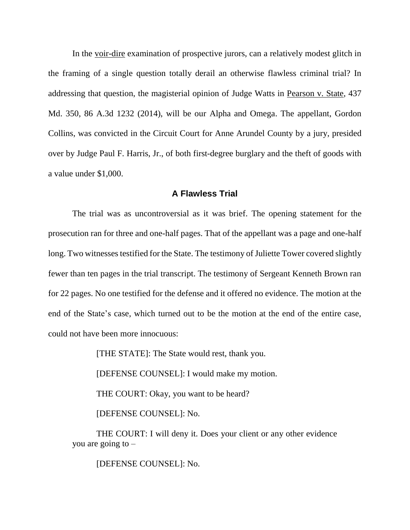In the voir-dire examination of prospective jurors, can a relatively modest glitch in the framing of a single question totally derail an otherwise flawless criminal trial? In addressing that question, the magisterial opinion of Judge Watts in Pearson v. State, 437 Md. 350, 86 A.3d 1232 (2014), will be our Alpha and Omega. The appellant, Gordon Collins, was convicted in the Circuit Court for Anne Arundel County by a jury, presided over by Judge Paul F. Harris, Jr., of both first-degree burglary and the theft of goods with a value under \$1,000.

## **A Flawless Trial**

The trial was as uncontroversial as it was brief. The opening statement for the prosecution ran for three and one-half pages. That of the appellant was a page and one-half long. Two witnesses testified for the State. The testimony of Juliette Tower covered slightly fewer than ten pages in the trial transcript. The testimony of Sergeant Kenneth Brown ran for 22 pages. No one testified for the defense and it offered no evidence. The motion at the end of the State's case, which turned out to be the motion at the end of the entire case, could not have been more innocuous:

[THE STATE]: The State would rest, thank you.

[DEFENSE COUNSEL]: I would make my motion.

THE COURT: Okay, you want to be heard?

[DEFENSE COUNSEL]: No.

THE COURT: I will deny it. Does your client or any other evidence you are going to  $-$ 

[DEFENSE COUNSEL]: No.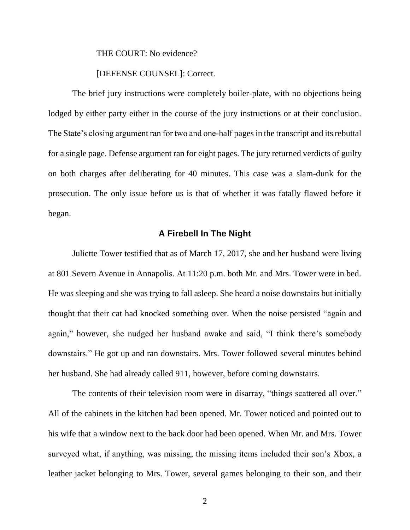THE COURT: No evidence?

#### [DEFENSE COUNSEL]: Correct.

The brief jury instructions were completely boiler-plate, with no objections being lodged by either party either in the course of the jury instructions or at their conclusion. The State's closing argument ran for two and one-half pages in the transcript and its rebuttal for a single page. Defense argument ran for eight pages. The jury returned verdicts of guilty on both charges after deliberating for 40 minutes. This case was a slam-dunk for the prosecution. The only issue before us is that of whether it was fatally flawed before it began.

## **A Firebell In The Night**

Juliette Tower testified that as of March 17, 2017, she and her husband were living at 801 Severn Avenue in Annapolis. At 11:20 p.m. both Mr. and Mrs. Tower were in bed. He was sleeping and she was trying to fall asleep. She heard a noise downstairs but initially thought that their cat had knocked something over. When the noise persisted "again and again," however, she nudged her husband awake and said, "I think there's somebody downstairs." He got up and ran downstairs. Mrs. Tower followed several minutes behind her husband. She had already called 911, however, before coming downstairs.

The contents of their television room were in disarray, "things scattered all over." All of the cabinets in the kitchen had been opened. Mr. Tower noticed and pointed out to his wife that a window next to the back door had been opened. When Mr. and Mrs. Tower surveyed what, if anything, was missing, the missing items included their son's Xbox, a leather jacket belonging to Mrs. Tower, several games belonging to their son, and their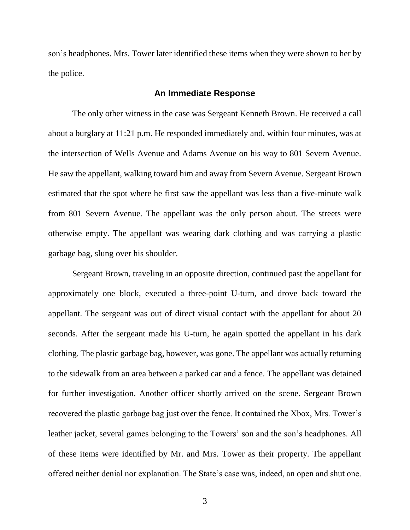son's headphones. Mrs. Tower later identified these items when they were shown to her by the police.

### **An Immediate Response**

The only other witness in the case was Sergeant Kenneth Brown. He received a call about a burglary at 11:21 p.m. He responded immediately and, within four minutes, was at the intersection of Wells Avenue and Adams Avenue on his way to 801 Severn Avenue. He saw the appellant, walking toward him and away from Severn Avenue. Sergeant Brown estimated that the spot where he first saw the appellant was less than a five-minute walk from 801 Severn Avenue. The appellant was the only person about. The streets were otherwise empty. The appellant was wearing dark clothing and was carrying a plastic garbage bag, slung over his shoulder.

Sergeant Brown, traveling in an opposite direction, continued past the appellant for approximately one block, executed a three-point U-turn, and drove back toward the appellant. The sergeant was out of direct visual contact with the appellant for about 20 seconds. After the sergeant made his U-turn, he again spotted the appellant in his dark clothing. The plastic garbage bag, however, was gone. The appellant was actually returning to the sidewalk from an area between a parked car and a fence. The appellant was detained for further investigation. Another officer shortly arrived on the scene. Sergeant Brown recovered the plastic garbage bag just over the fence. It contained the Xbox, Mrs. Tower's leather jacket, several games belonging to the Towers' son and the son's headphones. All of these items were identified by Mr. and Mrs. Tower as their property. The appellant offered neither denial nor explanation. The State's case was, indeed, an open and shut one.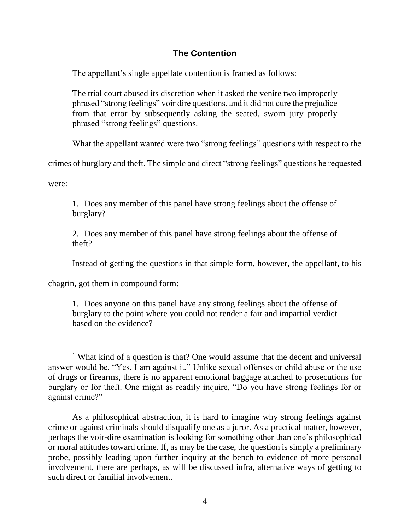# **The Contention**

The appellant's single appellate contention is framed as follows:

The trial court abused its discretion when it asked the venire two improperly phrased "strong feelings" voir dire questions, and it did not cure the prejudice from that error by subsequently asking the seated, sworn jury properly phrased "strong feelings" questions.

What the appellant wanted were two "strong feelings" questions with respect to the

crimes of burglary and theft. The simple and direct "strong feelings" questions he requested

were:

 $\overline{a}$ 

1. Does any member of this panel have strong feelings about the offense of burglary?<sup>1</sup>

2. Does any member of this panel have strong feelings about the offense of theft?

Instead of getting the questions in that simple form, however, the appellant, to his

chagrin, got them in compound form:

1. Does anyone on this panel have any strong feelings about the offense of burglary to the point where you could not render a fair and impartial verdict based on the evidence?

<sup>&</sup>lt;sup>1</sup> What kind of a question is that? One would assume that the decent and universal answer would be, "Yes, I am against it." Unlike sexual offenses or child abuse or the use of drugs or firearms, there is no apparent emotional baggage attached to prosecutions for burglary or for theft. One might as readily inquire, "Do you have strong feelings for or against crime?"

As a philosophical abstraction, it is hard to imagine why strong feelings against crime or against criminals should disqualify one as a juror. As a practical matter, however, perhaps the voir-dire examination is looking for something other than one's philosophical or moral attitudes toward crime. If, as may be the case, the question is simply a preliminary probe, possibly leading upon further inquiry at the bench to evidence of more personal involvement, there are perhaps, as will be discussed infra, alternative ways of getting to such direct or familial involvement.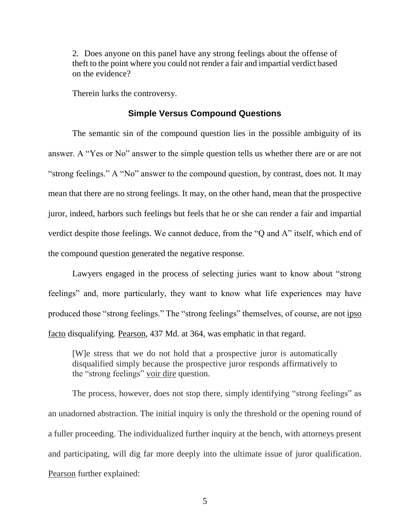2. Does anyone on this panel have any strong feelings about the offense of theft to the point where you could not render a fair and impartial verdict based on the evidence?

Therein lurks the controversy.

#### **Simple Versus Compound Questions**

The semantic sin of the compound question lies in the possible ambiguity of its answer. A "Yes or No" answer to the simple question tells us whether there are or are not "strong feelings." A "No" answer to the compound question, by contrast, does not. It may mean that there are no strong feelings. It may, on the other hand, mean that the prospective juror, indeed, harbors such feelings but feels that he or she can render a fair and impartial verdict despite those feelings. We cannot deduce, from the "Q and A" itself, which end of the compound question generated the negative response.

Lawyers engaged in the process of selecting juries want to know about "strong feelings" and, more particularly, they want to know what life experiences may have produced those "strong feelings." The "strong feelings" themselves, of course, are not ipso facto disqualifying. Pearson, 437 Md. at 364, was emphatic in that regard.

[W]e stress that we do not hold that a prospective juror is automatically disqualified simply because the prospective juror responds affirmatively to the "strong feelings" voir dire question.

The process, however, does not stop there, simply identifying "strong feelings" as an unadorned abstraction. The initial inquiry is only the threshold or the opening round of a fuller proceeding. The individualized further inquiry at the bench, with attorneys present and participating, will dig far more deeply into the ultimate issue of juror qualification. Pearson further explained: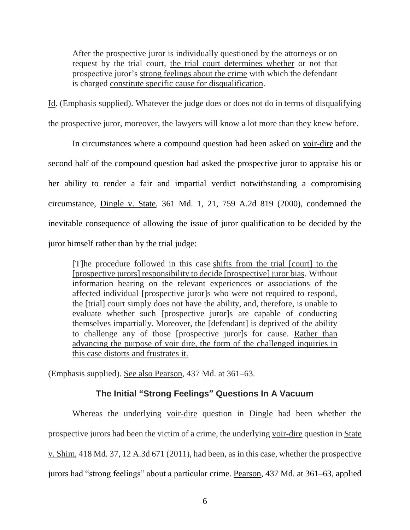After the prospective juror is individually questioned by the attorneys or on request by the trial court, the trial court determines whether or not that prospective juror's strong feelings about the crime with which the defendant is charged constitute specific cause for disqualification.

Id. (Emphasis supplied). Whatever the judge does or does not do in terms of disqualifying the prospective juror, moreover, the lawyers will know a lot more than they knew before.

In circumstances where a compound question had been asked on voir-dire and the second half of the compound question had asked the prospective juror to appraise his or her ability to render a fair and impartial verdict notwithstanding a compromising circumstance, Dingle v. State, 361 Md. 1, 21, 759 A.2d 819 (2000), condemned the inevitable consequence of allowing the issue of juror qualification to be decided by the juror himself rather than by the trial judge:

[T]he procedure followed in this case shifts from the trial [court] to the [prospective jurors] responsibility to decide [prospective] juror bias. Without information bearing on the relevant experiences or associations of the affected individual [prospective juror]s who were not required to respond, the [trial] court simply does not have the ability, and, therefore, is unable to evaluate whether such [prospective juror]s are capable of conducting themselves impartially. Moreover, the [defendant] is deprived of the ability to challenge any of those [prospective juror]s for cause. Rather than advancing the purpose of voir dire, the form of the challenged inquiries in this case distorts and frustrates it.

(Emphasis supplied). See also Pearson, 437 Md. at 361–63.

# **The Initial "Strong Feelings" Questions In A Vacuum**

Whereas the underlying voir-dire question in Dingle had been whether the prospective jurors had been the victim of a crime, the underlying voir-dire question in State v. Shim, 418 Md. 37, 12 A.3d 671 (2011), had been, as in this case, whether the prospective jurors had "strong feelings" about a particular crime. Pearson, 437 Md. at 361–63, applied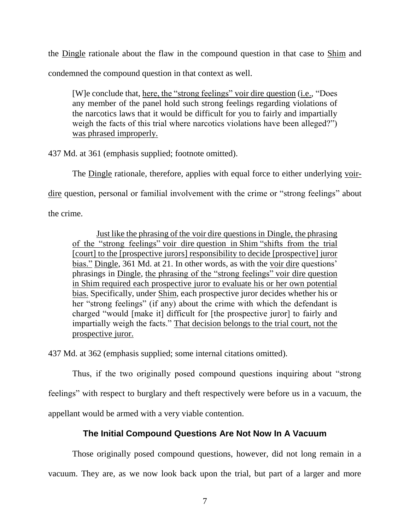the Dingle rationale about the flaw in the compound question in that case to Shim and condemned the compound question in that context as well.

[W]e conclude that, here, the "strong feelings" voir dire question (i.e., "Does any member of the panel hold such strong feelings regarding violations of the narcotics laws that it would be difficult for you to fairly and impartially weigh the facts of this trial where narcotics violations have been alleged?") was phrased improperly.

437 Md. at 361 (emphasis supplied; footnote omitted).

The Dingle rationale, therefore, applies with equal force to either underlying voir-

dire question, personal or familial involvement with the crime or "strong feelings" about

the crime.

Just like the phrasing of the voir dire questions in Dingle, the phrasing of the "strong feelings" voir dire question in Shim "shifts from the trial [court] to the [prospective jurors] responsibility to decide [prospective] juror bias." Dingle, 361 Md. at 21. In other words, as with the voir dire questions' phrasings in Dingle, the phrasing of the "strong feelings" voir dire question in Shim required each prospective juror to evaluate his or her own potential bias. Specifically, under Shim, each prospective juror decides whether his or her "strong feelings" (if any) about the crime with which the defendant is charged "would [make it] difficult for [the prospective juror] to fairly and impartially weigh the facts." That decision belongs to the trial court, not the prospective juror.

437 Md. at 362 (emphasis supplied; some internal citations omitted).

Thus, if the two originally posed compound questions inquiring about "strong

feelings" with respect to burglary and theft respectively were before us in a vacuum, the

appellant would be armed with a very viable contention.

# **The Initial Compound Questions Are Not Now In A Vacuum**

Those originally posed compound questions, however, did not long remain in a vacuum. They are, as we now look back upon the trial, but part of a larger and more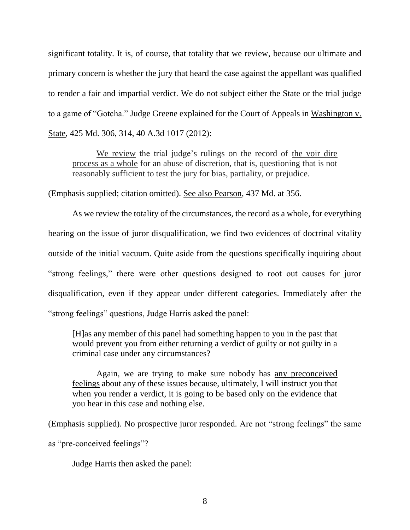significant totality. It is, of course, that totality that we review, because our ultimate and primary concern is whether the jury that heard the case against the appellant was qualified to render a fair and impartial verdict. We do not subject either the State or the trial judge to a game of "Gotcha." Judge Greene explained for the Court of Appeals in Washington v. State, 425 Md. 306, 314, 40 A.3d 1017 (2012):

We review the trial judge's rulings on the record of the voir dire process as a whole for an abuse of discretion, that is, questioning that is not reasonably sufficient to test the jury for bias, partiality, or prejudice.

(Emphasis supplied; citation omitted). See also Pearson, 437 Md. at 356.

As we review the totality of the circumstances, the record as a whole, for everything bearing on the issue of juror disqualification, we find two evidences of doctrinal vitality outside of the initial vacuum. Quite aside from the questions specifically inquiring about "strong feelings," there were other questions designed to root out causes for juror disqualification, even if they appear under different categories. Immediately after the "strong feelings" questions, Judge Harris asked the panel:

[H]as any member of this panel had something happen to you in the past that would prevent you from either returning a verdict of guilty or not guilty in a criminal case under any circumstances?

Again, we are trying to make sure nobody has any preconceived feelings about any of these issues because, ultimately, I will instruct you that when you render a verdict, it is going to be based only on the evidence that you hear in this case and nothing else.

(Emphasis supplied). No prospective juror responded. Are not "strong feelings" the same as "pre-conceived feelings"?

Judge Harris then asked the panel: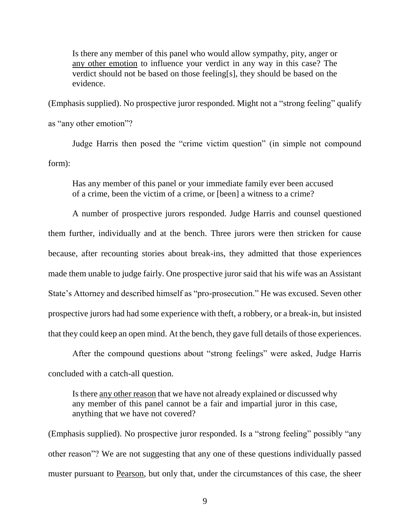Is there any member of this panel who would allow sympathy, pity, anger or any other emotion to influence your verdict in any way in this case? The verdict should not be based on those feeling[s], they should be based on the evidence.

(Emphasis supplied). No prospective juror responded. Might not a "strong feeling" qualify

as "any other emotion"?

Judge Harris then posed the "crime victim question" (in simple not compound form):

Has any member of this panel or your immediate family ever been accused of a crime, been the victim of a crime, or [been] a witness to a crime?

A number of prospective jurors responded. Judge Harris and counsel questioned them further, individually and at the bench. Three jurors were then stricken for cause because, after recounting stories about break-ins, they admitted that those experiences made them unable to judge fairly. One prospective juror said that his wife was an Assistant State's Attorney and described himself as "pro-prosecution." He was excused. Seven other prospective jurors had had some experience with theft, a robbery, or a break-in, but insisted that they could keep an open mind. At the bench, they gave full details of those experiences.

After the compound questions about "strong feelings" were asked, Judge Harris concluded with a catch-all question.

Is there any other reason that we have not already explained or discussed why any member of this panel cannot be a fair and impartial juror in this case, anything that we have not covered?

(Emphasis supplied). No prospective juror responded. Is a "strong feeling" possibly "any other reason"? We are not suggesting that any one of these questions individually passed muster pursuant to Pearson, but only that, under the circumstances of this case, the sheer

9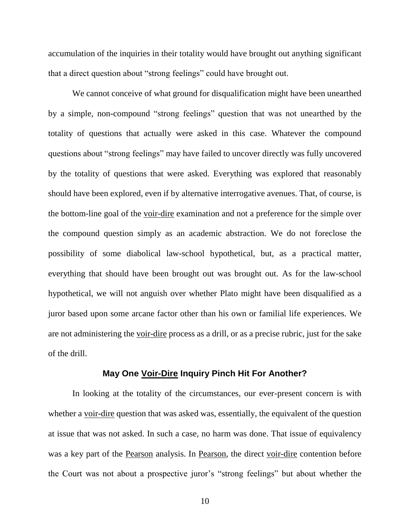accumulation of the inquiries in their totality would have brought out anything significant that a direct question about "strong feelings" could have brought out.

We cannot conceive of what ground for disqualification might have been unearthed by a simple, non-compound "strong feelings" question that was not unearthed by the totality of questions that actually were asked in this case. Whatever the compound questions about "strong feelings" may have failed to uncover directly was fully uncovered by the totality of questions that were asked. Everything was explored that reasonably should have been explored, even if by alternative interrogative avenues. That, of course, is the bottom-line goal of the voir-dire examination and not a preference for the simple over the compound question simply as an academic abstraction. We do not foreclose the possibility of some diabolical law-school hypothetical, but, as a practical matter, everything that should have been brought out was brought out. As for the law-school hypothetical, we will not anguish over whether Plato might have been disqualified as a juror based upon some arcane factor other than his own or familial life experiences. We are not administering the voir-dire process as a drill, or as a precise rubric, just for the sake of the drill.

#### **May One Voir-Dire Inquiry Pinch Hit For Another?**

In looking at the totality of the circumstances, our ever-present concern is with whether a <u>voir-dire</u> question that was asked was, essentially, the equivalent of the question at issue that was not asked. In such a case, no harm was done. That issue of equivalency was a key part of the Pearson analysis. In Pearson, the direct voir-dire contention before the Court was not about a prospective juror's "strong feelings" but about whether the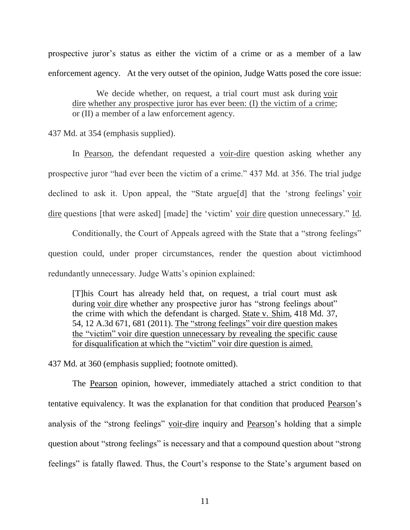prospective juror's status as either the victim of a crime or as a member of a law enforcement agency. At the very outset of the opinion, Judge Watts posed the core issue:

We decide whether, on request, a trial court must ask during voir dire whether any prospective juror has ever been: (I) the victim of a crime; or (II) a member of a law enforcement agency.

437 Md. at 354 (emphasis supplied).

In Pearson, the defendant requested a voir-dire question asking whether any prospective juror "had ever been the victim of a crime." 437 Md. at 356. The trial judge declined to ask it. Upon appeal, the "State argue[d] that the 'strong feelings' voir dire questions [that were asked] [made] the 'victim' voir dire question unnecessary." Id.

Conditionally, the Court of Appeals agreed with the State that a "strong feelings" question could, under proper circumstances, render the question about victimhood redundantly unnecessary. Judge Watts's opinion explained:

[T]his Court has already held that, on request, a trial court must ask during voir dire whether any prospective juror has "strong feelings about" the crime with which the defendant is charged. State v. Shim, 418 Md. 37, 54, 12 A.3d 671, 681 (2011). The "strong feelings" voir dire question makes the "victim" voir dire question unnecessary by revealing the specific cause for disqualification at which the "victim" voir dire question is aimed.

437 Md. at 360 (emphasis supplied; footnote omitted).

The Pearson opinion, however, immediately attached a strict condition to that tentative equivalency. It was the explanation for that condition that produced Pearson's analysis of the "strong feelings" voir-dire inquiry and Pearson's holding that a simple question about "strong feelings" is necessary and that a compound question about "strong feelings" is fatally flawed. Thus, the Court's response to the State's argument based on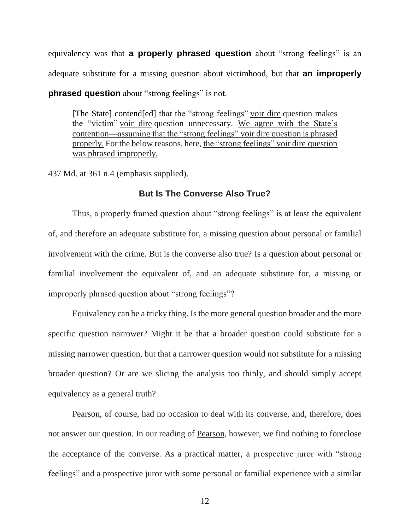equivalency was that **a properly phrased question** about "strong feelings" is an adequate substitute for a missing question about victimhood, but that **an improperly phrased question** about "strong feelings" is not.

[The State] contend[ed] that the "strong feelings" voir dire question makes the "victim" voir dire question unnecessary. We agree with the State's contention—assuming that the "strong feelings" voir dire question is phrased properly. For the below reasons, here, the "strong feelings" voir dire question was phrased improperly.

437 Md. at 361 n.4 (emphasis supplied).

# **But Is The Converse Also True?**

Thus, a properly framed question about "strong feelings" is at least the equivalent of, and therefore an adequate substitute for, a missing question about personal or familial involvement with the crime. But is the converse also true? Is a question about personal or familial involvement the equivalent of, and an adequate substitute for, a missing or improperly phrased question about "strong feelings"?

Equivalency can be a tricky thing. Is the more general question broader and the more specific question narrower? Might it be that a broader question could substitute for a missing narrower question, but that a narrower question would not substitute for a missing broader question? Or are we slicing the analysis too thinly, and should simply accept equivalency as a general truth?

Pearson, of course, had no occasion to deal with its converse, and, therefore, does not answer our question. In our reading of Pearson, however, we find nothing to foreclose the acceptance of the converse. As a practical matter, a prospective juror with "strong feelings" and a prospective juror with some personal or familial experience with a similar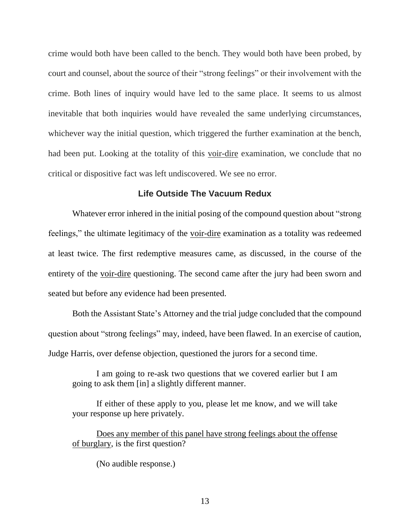crime would both have been called to the bench. They would both have been probed, by court and counsel, about the source of their "strong feelings" or their involvement with the crime. Both lines of inquiry would have led to the same place. It seems to us almost inevitable that both inquiries would have revealed the same underlying circumstances, whichever way the initial question, which triggered the further examination at the bench, had been put. Looking at the totality of this voir-dire examination, we conclude that no critical or dispositive fact was left undiscovered. We see no error.

# **Life Outside The Vacuum Redux**

Whatever error inhered in the initial posing of the compound question about "strong feelings," the ultimate legitimacy of the voir-dire examination as a totality was redeemed at least twice. The first redemptive measures came, as discussed, in the course of the entirety of the voir-dire questioning. The second came after the jury had been sworn and seated but before any evidence had been presented.

Both the Assistant State's Attorney and the trial judge concluded that the compound question about "strong feelings" may, indeed, have been flawed. In an exercise of caution, Judge Harris, over defense objection, questioned the jurors for a second time.

I am going to re-ask two questions that we covered earlier but I am going to ask them [in] a slightly different manner.

If either of these apply to you, please let me know, and we will take your response up here privately.

Does any member of this panel have strong feelings about the offense of burglary, is the first question?

(No audible response.)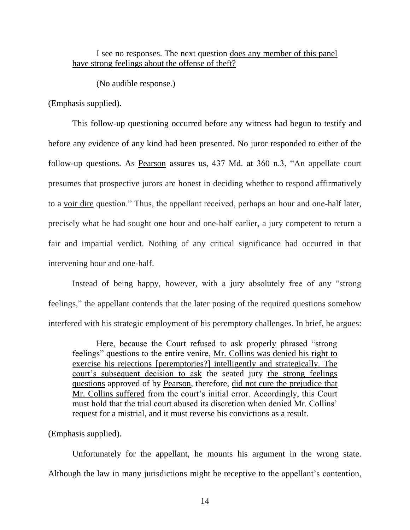# I see no responses. The next question does any member of this panel have strong feelings about the offense of theft?

(No audible response.)

(Emphasis supplied).

This follow-up questioning occurred before any witness had begun to testify and before any evidence of any kind had been presented. No juror responded to either of the follow-up questions. As Pearson assures us, 437 Md. at 360 n.3, "An appellate court presumes that prospective jurors are honest in deciding whether to respond affirmatively to a voir dire question." Thus, the appellant received, perhaps an hour and one-half later, precisely what he had sought one hour and one-half earlier, a jury competent to return a fair and impartial verdict. Nothing of any critical significance had occurred in that intervening hour and one-half.

Instead of being happy, however, with a jury absolutely free of any "strong feelings," the appellant contends that the later posing of the required questions somehow interfered with his strategic employment of his peremptory challenges. In brief, he argues:

Here, because the Court refused to ask properly phrased "strong feelings" questions to the entire venire, Mr. Collins was denied his right to exercise his rejections [peremptories?] intelligently and strategically. The court's subsequent decision to ask the seated jury the strong feelings questions approved of by Pearson, therefore, did not cure the prejudice that Mr. Collins suffered from the court's initial error. Accordingly, this Court must hold that the trial court abused its discretion when denied Mr. Collins' request for a mistrial, and it must reverse his convictions as a result.

#### (Emphasis supplied).

Unfortunately for the appellant, he mounts his argument in the wrong state. Although the law in many jurisdictions might be receptive to the appellant's contention,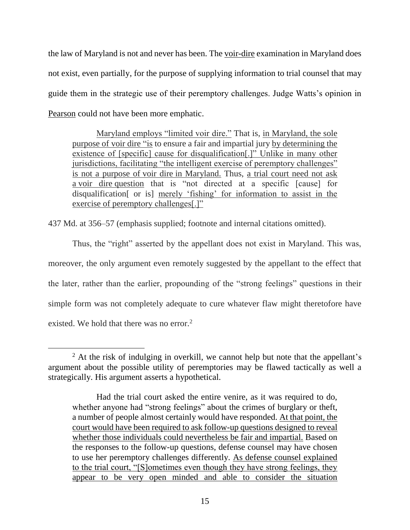the law of Maryland is not and never has been. The voir-dire examination in Maryland does not exist, even partially, for the purpose of supplying information to trial counsel that may guide them in the strategic use of their peremptory challenges. Judge Watts's opinion in Pearson could not have been more emphatic.

Maryland employs "limited voir dire." That is, in Maryland, the sole purpose of voir dire "is to ensure a fair and impartial jury by determining the existence of [specific] cause for disqualification[.]" Unlike in many other jurisdictions, facilitating "the intelligent exercise of peremptory challenges" is not a purpose of voir dire in Maryland. Thus, a trial court need not ask a voir dire question that is "not directed at a specific [cause] for disqualification[ or is] merely 'fishing' for information to assist in the exercise of peremptory challenges[.]"

437 Md. at 356–57 (emphasis supplied; footnote and internal citations omitted).

Thus, the "right" asserted by the appellant does not exist in Maryland. This was, moreover, the only argument even remotely suggested by the appellant to the effect that the later, rather than the earlier, propounding of the "strong feelings" questions in their simple form was not completely adequate to cure whatever flaw might theretofore have existed. We hold that there was no error.<sup>2</sup>

 $\overline{a}$ 

 $2$  At the risk of indulging in overkill, we cannot help but note that the appellant's argument about the possible utility of peremptories may be flawed tactically as well a strategically. His argument asserts a hypothetical.

Had the trial court asked the entire venire, as it was required to do, whether anyone had "strong feelings" about the crimes of burglary or theft, a number of people almost certainly would have responded. At that point, the court would have been required to ask follow-up questions designed to reveal whether those individuals could nevertheless be fair and impartial. Based on the responses to the follow-up questions, defense counsel may have chosen to use her peremptory challenges differently. As defense counsel explained to the trial court, "[S]ometimes even though they have strong feelings, they appear to be very open minded and able to consider the situation